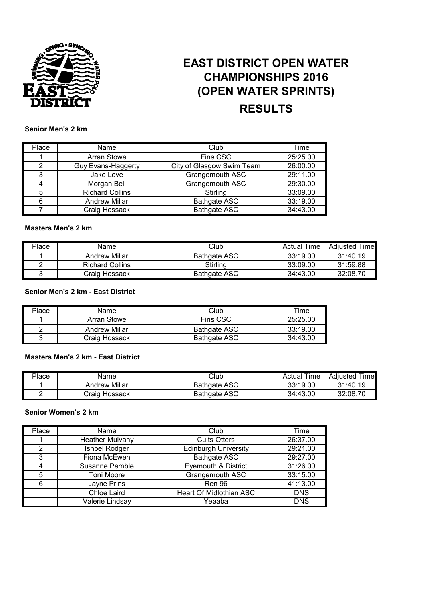

# **EAST DISTRICT OPEN WATER CHAMPIONSHIPS 2016 (OPEN WATER SPRINTS) RESULTS**

#### **Senior Men's 2 km**

| Place | Name                   | Club                      | Time     |
|-------|------------------------|---------------------------|----------|
|       | <b>Arran Stowe</b>     | Fins CSC                  | 25:25.00 |
| 2     | Guy Evans-Haggerty     | City of Glasgow Swim Team | 26:00.00 |
| 3     | Jake Love              | Grangemouth ASC           | 29:11.00 |
|       | Morgan Bell            | Grangemouth ASC           | 29:30.00 |
| 5     | <b>Richard Collins</b> | Stirling                  | 33:09.00 |
| 6     | <b>Andrew Millar</b>   | <b>Bathgate ASC</b>       | 33:19.00 |
|       | Craig Hossack          | <b>Bathgate ASC</b>       | 34:43.00 |

#### **Masters Men's 2 km**

| Place | Name                   | Club                | <b>Actual Time</b> | Adjusted Time |
|-------|------------------------|---------------------|--------------------|---------------|
|       | Andrew Millar          | <b>Bathgate ASC</b> | 33:19.00           | 31:40.19      |
|       | <b>Richard Collins</b> | Stirling            | 33:09.00           | 31:59.88      |
|       | Craig Hossack          | Bathgate ASC        | 34:43.00           | 32:08.70      |

# **Senior Men's 2 km - East District**

| Place | Name          | Club         | Time     |
|-------|---------------|--------------|----------|
|       | Arran Stowe   | Fins CSC     | 25:25.00 |
|       | Andrew Millar | Bathgate ASC | 33:19.00 |
|       | Craig Hossack | Bathgate ASC | 34:43.00 |

## **Masters Men's 2 km - East District**

| Place | Name                          | Club                | Time<br>Actual | Adiusted<br>ime |
|-------|-------------------------------|---------------------|----------------|-----------------|
|       | Millar<br>Andrew              | <b>Bathgate ASC</b> | 33:19.00       | 31:40.19        |
|       | <sup>,</sup> Hossack<br>Craiq | <b>Bathgate ASC</b> | 34:43.00       | 32:08.70        |

#### **Senior Women's 2 km**

| Place | Name                   | Club                        | Time       |
|-------|------------------------|-----------------------------|------------|
|       | <b>Heather Mulvany</b> | <b>Cults Otters</b>         | 26:37.00   |
| 2     | Ishbel Rodger          | <b>Edinburgh University</b> | 29:21.00   |
| 3     | Fiona McEwen           | <b>Bathgate ASC</b>         | 29:27.00   |
|       | Susanne Pemble         | Eyemouth & District         | 31:26.00   |
| 5     | <b>Toni Moore</b>      | Grangemouth ASC             | 33:15.00   |
| ิค    | Jayne Prins            | Ren 96                      | 41:13.00   |
|       | Chloe Laird            | Heart Of Midlothian ASC     | <b>DNS</b> |
|       | Valerie Lindsay        | Yeaaba                      | <b>DNS</b> |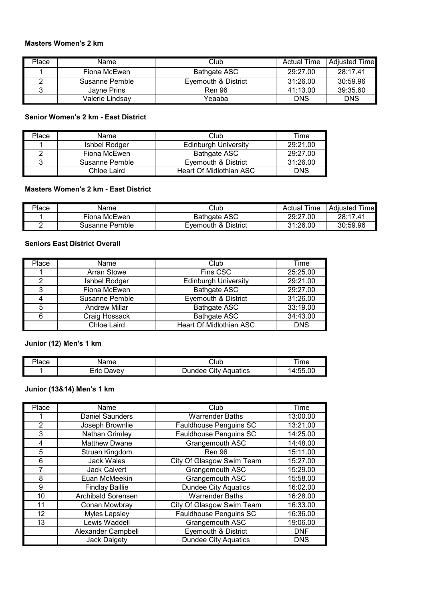# **Masters Women's 2 km**

| Place | Name            | Club                | <b>Actual Time</b> | Adiusted Time |
|-------|-----------------|---------------------|--------------------|---------------|
|       | Fiona McEwen    | Bathgate ASC        | 29:27.00           | 28:17.41      |
|       | Susanne Pemble  | Evemouth & District | 31:26.00           | 30:59.96      |
|       | Javne Prins     | <b>Ren 96</b>       | 41:13.00           | 39:35.60      |
|       | Valerie Lindsav | Yeaaba              | <b>DNS</b>         | <b>DNS</b>    |

#### **Senior Women's 2 km - East District**

| Place | Name           | Club                        | Time       |
|-------|----------------|-----------------------------|------------|
|       | Ishbel Rodger  | <b>Edinburgh University</b> | 29:21.00   |
|       | Fiona McEwen   | <b>Bathgate ASC</b>         | 29:27.00   |
|       | Susanne Pemble | Eyemouth & District         | 31:26.00   |
|       | Chloe Laird    | Heart Of Midlothian ASC     | <b>DNS</b> |

#### **Masters Women's 2 km - East District**

| Place | Name           | Club                | Time<br>Actual | l ime l<br>Adiusted |
|-------|----------------|---------------------|----------------|---------------------|
|       | Fiona McEwen.  | <b>Bathgate ASC</b> | 29:27.00       | 28:17.41            |
|       | Susanne Pemble | Evemouth & District | 31:26.00       | 30:59.96            |

#### **Seniors East District Overall**

| Place | Name                 | Club                           | Time       |
|-------|----------------------|--------------------------------|------------|
|       | Arran Stowe          | Fins CSC                       | 25:25.00   |
| っ     | Ishbel Rodger        | <b>Edinburgh University</b>    | 29:21.00   |
| 3     | Fiona McEwen         | <b>Bathgate ASC</b>            | 29:27.00   |
|       | Susanne Pemble       | Eyemouth & District            | 31:26.00   |
|       | <b>Andrew Millar</b> | <b>Bathgate ASC</b>            | 33:19.00   |
|       | Craig Hossack        | <b>Bathgate ASC</b>            | 34:43.00   |
|       | Chloe Laird          | <b>Heart Of Midlothian ASC</b> | <b>DNS</b> |

# **Junior (12) Men's 1 km**

| $\overline{\phantom{a}}$<br>'lace | $\overline{\phantom{a}}$ | ∵lut                    | ıme |
|-----------------------------------|--------------------------|-------------------------|-----|
|                                   | -rıc<br>1011011          | Aquatics<br>∴ıtv<br>۹۵۵ |     |

#### **Junior (13&14) Men's 1 km**

| Place          | Name                      | Club                           | Time       |
|----------------|---------------------------|--------------------------------|------------|
|                | <b>Daniel Saunders</b>    | <b>Warrender Baths</b>         | 13:00.00   |
| $\overline{2}$ | Joseph Brownlie           | Fauldhouse Penguins SC         | 13:21.00   |
| 3              | Nathan Grimley            | <b>Fauldhouse Penguins SC</b>  | 14:25.00   |
| 4              | <b>Matthew Dwane</b>      | Grangemouth ASC                | 14:48.00   |
| 5              | Struan Kingdom            | <b>Ren 96</b>                  | 15:11.00   |
| 6              | <b>Jack Wales</b>         | City Of Glasgow Swim Team      | 15:27.00   |
| 7              | <b>Jack Calvert</b>       | Grangemouth ASC                | 15:29.00   |
| 8              | Euan McMeekin             | Grangemouth ASC                | 15:58.00   |
| 9              | <b>Findlay Baillie</b>    | <b>Dundee City Aquatics</b>    | 16:02.00   |
| 10             | <b>Archibald Sorensen</b> | <b>Warrender Baths</b>         | 16:28.00   |
| 11             | Conan Mowbray             | City Of Glasgow Swim Team      | 16:33.00   |
| 12             | <b>Myles Lapsley</b>      | Fauldhouse Penguins SC         | 16:36.00   |
| 13             | Lewis Waddell             | Grangemouth ASC                | 19:06.00   |
|                | Alexander Campbell        | <b>Eyemouth &amp; District</b> | <b>DNF</b> |
|                | <b>Jack Dalgety</b>       | <b>Dundee City Aquatics</b>    | <b>DNS</b> |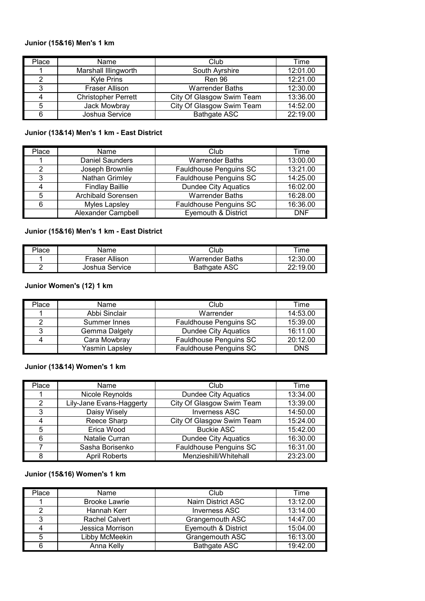#### **Junior (15&16) Men's 1 km**

| Place | <b>Name</b>                | Club                      | Time     |
|-------|----------------------------|---------------------------|----------|
|       | Marshall Illingworth       | South Ayrshire            | 12:01.00 |
| っ     | <b>Kyle Prins</b>          | <b>Ren 96</b>             | 12:21.00 |
| 3     | Fraser Allison             | <b>Warrender Baths</b>    | 12:30.00 |
|       | <b>Christopher Perrett</b> | City Of Glasgow Swim Team | 13:36.00 |
| 5     | Jack Mowbray               | City Of Glasgow Swim Team | 14:52.00 |
|       | Joshua Service             | <b>Bathgate ASC</b>       | 22:19.00 |

#### **Junior (13&14) Men's 1 km - East District**

| Place | Name                      | Club                           | Time       |
|-------|---------------------------|--------------------------------|------------|
|       | <b>Daniel Saunders</b>    | <b>Warrender Baths</b>         | 13:00.00   |
| っ     | Joseph Brownlie           | Fauldhouse Penguins SC         | 13:21.00   |
| 3     | Nathan Grimley            | Fauldhouse Penguins SC         | 14:25.00   |
|       | <b>Findlay Baillie</b>    | <b>Dundee City Aquatics</b>    | 16:02.00   |
| 5     | <b>Archibald Sorensen</b> | <b>Warrender Baths</b>         | 16:28.00   |
|       | Myles Lapsley             | Fauldhouse Penguins SC         | 16:36.00   |
|       | Alexander Campbell        | <b>Eyemouth &amp; District</b> | <b>DNF</b> |

#### **Junior (15&16) Men's 1 km - East District**

| Place | Name           | Club                   | $\mathsf{r}$ ime |
|-------|----------------|------------------------|------------------|
|       | Fraser Allison | <b>Warrender Baths</b> | 12:30.00         |
|       | Joshua Service | Bathgate ASC           | 22:19.00         |

## **Junior Women's (12) 1 km**

| Place | Name           | Club                        | Time       |
|-------|----------------|-----------------------------|------------|
|       | Abbi Sinclair  | Warrender                   | 14:53.00   |
|       | Summer Innes   | Fauldhouse Penguins SC      | 15:39.00   |
| 3     | Gemma Dalgety  | <b>Dundee City Aquatics</b> | 16:11.00   |
|       | Cara Mowbray   | Fauldhouse Penguins SC      | 20:12.00   |
|       | Yasmin Lapsley | Fauldhouse Penguins SC      | <b>DNS</b> |

#### **Junior (13&14) Women's 1 km**

| Place         | Name                     | Club                        | Time     |
|---------------|--------------------------|-----------------------------|----------|
|               | Nicole Reynolds          | <b>Dundee City Aquatics</b> | 13:34.00 |
| $\mathcal{P}$ | Lily-Jane Evans-Haggerty | City Of Glasgow Swim Team   | 13:39.00 |
| 3             | Daisy Wisely             | <b>Inverness ASC</b>        | 14:50.00 |
|               | Reece Sharp              | City Of Glasgow Swim Team   | 15:24.00 |
| 5             | Erica Wood               | <b>Buckie ASC</b>           | 15:42.00 |
| 6             | Natalie Curran           | <b>Dundee City Aquatics</b> | 16:30.00 |
|               | Sasha Borisenko          | Fauldhouse Penguins SC      | 16:31.00 |
| 8             | <b>April Roberts</b>     | Menzieshill/Whitehall       | 23:23.00 |

# **Junior (15&16) Women's 1 km**

| Place | Name                  | Club                           | Time     |
|-------|-----------------------|--------------------------------|----------|
|       | <b>Brooke Lawrie</b>  | Nairn District ASC             | 13:12.00 |
| っ     | Hannah Kerr           | <b>Inverness ASC</b>           | 13:14.00 |
| 3     | <b>Rachel Calvert</b> | Grangemouth ASC                | 14:47.00 |
|       | Jessica Morrison      | <b>Eyemouth &amp; District</b> | 15:04.00 |
| 5     | Libby McMeekin        | Grangemouth ASC                | 16:13.00 |
|       | Anna Kelly            | <b>Bathgate ASC</b>            | 19:42.00 |